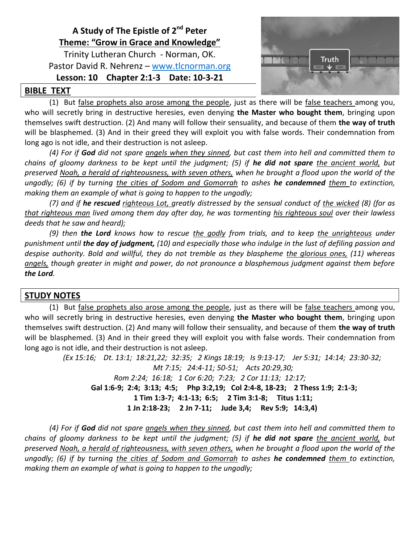# **A Study of The Epistle of 2 nd Peter Theme: "Grow in Grace and Knowledge"**

Trinity Lutheran Church - Norman, OK. Pastor David R. Nehrenz – [www.tlcnorman.org](http://www.tlcnorman.org/)

## **Lesson: 10 Chapter 2:1-3 Date: 10-3-21**



### **BIBLE TEXT**

(1) But false prophets also arose among the people, just as there will be false teachers among you, who will secretly bring in destructive heresies, even denying **the Master who bought them**, bringing upon themselves swift destruction. (2) And many will follow their sensuality, and because of them **the way of truth** will be blasphemed. (3) And in their greed they will exploit you with false words. Their condemnation from long ago is not idle, and their destruction is not asleep.

*(4) For if God did not spare angels when they sinned, but cast them into hell and committed them to chains of gloomy darkness to be kept until the judgment; (5) if he did not spare the ancient world, but preserved Noah, a herald of righteousness, with seven others, when he brought a flood upon the world of the ungodly; (6) if by turning the cities of Sodom and Gomorrah to ashes he condemned them to extinction, making them an example of what is going to happen to the ungodly;* 

*(7) and if he rescued righteous Lot, greatly distressed by the sensual conduct of the wicked (8) (for as that righteous man lived among them day after day, he was tormenting his righteous soul over their lawless deeds that he saw and heard);* 

*(9) then the Lord knows how to rescue the godly from trials, and to keep the unrighteous under punishment until the day of judgment, (10) and especially those who indulge in the lust of defiling passion and despise authority. Bold and willful, they do not tremble as they blaspheme the glorious ones, (11) whereas angels, though greater in might and power, do not pronounce a blasphemous judgment against them before the Lord.*

# **STUDY NOTES**

(1) But false prophets also arose among the people, just as there will be false teachers among you, who will secretly bring in destructive heresies, even denying **the Master who bought them**, bringing upon themselves swift destruction. (2) And many will follow their sensuality, and because of them **the way of truth** will be blasphemed. (3) And in their greed they will exploit you with false words. Their condemnation from long ago is not idle, and their destruction is not asleep.

> *(Ex 15:16; Dt. 13:1; 18:21,22; 32:35; 2 Kings 18:19; Is 9:13-17; Jer 5:31; 14:14; 23:30-32; Mt 7:15; 24:4-11; 50-51; Acts 20:29,30; Rom 2:24; 16:18; 1 Cor 6:20; 7:23; 2 Cor 11:13; 12:17;*   **Gal 1:6-9; 2:4; 3:13; 4:5; Php 3:2,19; Col 2:4-8, 18-23; 2 Thess 1:9; 2:1-3; 1 Tim 1:3-7; 4:1-13; 6:5; 2 Tim 3:1-8; Titus 1:11; 1 Jn 2:18-23; 2 Jn 7-11; Jude 3,4; Rev 5:9; 14:3,4)**

*(4) For if God did not spare angels when they sinned, but cast them into hell and committed them to chains of gloomy darkness to be kept until the judgment; (5) if he did not spare the ancient world, but preserved Noah, a herald of righteousness, with seven others, when he brought a flood upon the world of the ungodly; (6) if by turning the cities of Sodom and Gomorrah to ashes he condemned them to extinction, making them an example of what is going to happen to the ungodly;*